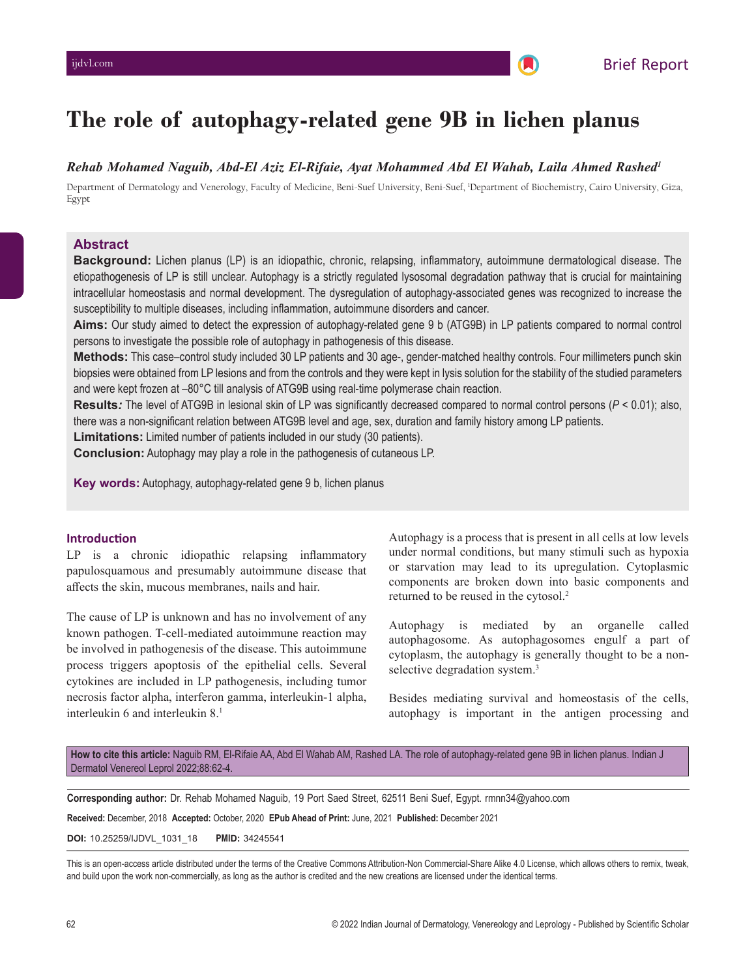# **The role of autophagy-related gene 9B in lichen planus**

# *Rehab Mohamed Naguib, Abd-El Aziz El-Rifaie, Ayat Mohammed Abd El Wahab, Laila Ahmed Rashed1*

Department of Dermatology and Venerology, Faculty of Medicine, Beni-Suef University, Beni-Suef, 1 Department of Biochemistry, Cairo University, Giza, Egypt

# **Abstract**

**Background:** Lichen planus (LP) is an idiopathic, chronic, relapsing, inflammatory, autoimmune dermatological disease. The etiopathogenesis of LP is still unclear. Autophagy is a strictly regulated lysosomal degradation pathway that is crucial for maintaining intracellular homeostasis and normal development. The dysregulation of autophagy-associated genes was recognized to increase the susceptibility to multiple diseases, including inflammation, autoimmune disorders and cancer.

**Aims:** Our study aimed to detect the expression of autophagy-related gene 9 b (ATG9B) in LP patients compared to normal control persons to investigate the possible role of autophagy in pathogenesis of this disease.

**Methods:** This case–control study included 30 LP patients and 30 age-, gender-matched healthy controls. Four millimeters punch skin biopsies were obtained from LP lesions and from the controls and they were kept in lysis solution for the stability of the studied parameters and were kept frozen at –80°C till analysis of ATG9B using real-time polymerase chain reaction.

**Results***:* The level of ATG9B in lesional skin of LP was significantly decreased compared to normal control persons (*P* < 0.01); also, there was a non-significant relation between ATG9B level and age, sex, duration and family history among LP patients.

**Limitations:** Limited number of patients included in our study (30 patients).

**Conclusion:** Autophagy may play a role in the pathogenesis of cutaneous LP.

**Key words:** Autophagy, autophagy-related gene 9 b, lichen planus

# **Introduction**

LP is a chronic idiopathic relapsing inflammatory papulosquamous and presumably autoimmune disease that affects the skin, mucous membranes, nails and hair.

The cause of LP is unknown and has no involvement of any known pathogen. T-cell-mediated autoimmune reaction may be involved in pathogenesis of the disease. This autoimmune process triggers apoptosis of the epithelial cells. Several cytokines are included in LP pathogenesis, including tumor necrosis factor alpha, interferon gamma, interleukin-1 alpha, interleukin 6 and interleukin 8.1

Autophagy is a process that is present in all cells at low levels under normal conditions, but many stimuli such as hypoxia or starvation may lead to its upregulation. Cytoplasmic components are broken down into basic components and returned to be reused in the cytosol.2

Autophagy is mediated by an organelle called autophagosome. As autophagosomes engulf a part of cytoplasm, the autophagy is generally thought to be a nonselective degradation system.<sup>3</sup>

Besides mediating survival and homeostasis of the cells, autophagy is important in the antigen processing and

**How to cite this article:** Naguib RM, El-Rifaie AA, Abd El Wahab AM, Rashed LA. The role of autophagy-related gene 9B in lichen planus. Indian J Dermatol Venereol Leprol 2022;88:62-4.

**Corresponding author:** Dr. Rehab Mohamed Naguib, 19 Port Saed Street, 62511 Beni Suef, Egypt. rmnn34@yahoo.com

**Received:** December, 2018 **Accepted:** October, 2020 **EPub Ahead of Print:** June, 2021 **Published:** December 2021

**DOI:** 10.25259/IJDVL\_1031\_18 **PMID:** 34245541

This is an open-access article distributed under the terms of the Creative Commons Attribution-Non Commercial-Share Alike 4.0 License, which allows others to remix, tweak, and build upon the work non-commercially, as long as the author is credited and the new creations are licensed under the identical terms.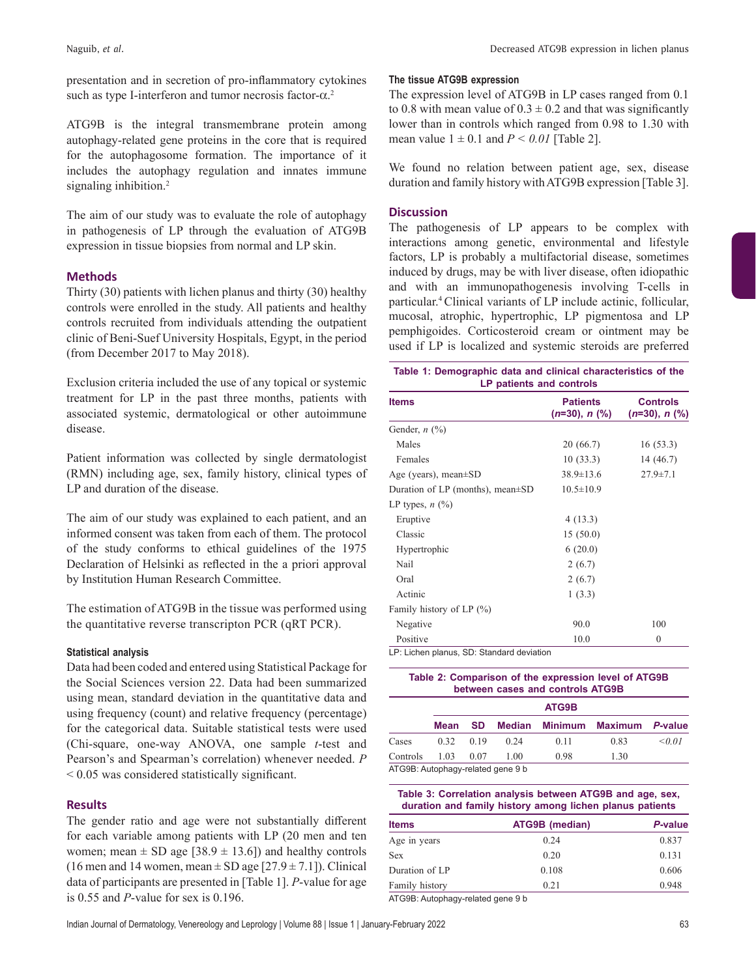presentation and in secretion of pro-inflammatory cytokines such as type I-interferon and tumor necrosis factor- $\alpha$ <sup>2</sup>

ATG9B is the integral transmembrane protein among autophagy-related gene proteins in the core that is required for the autophagosome formation. The importance of it includes the autophagy regulation and innates immune signaling inhibition.<sup>2</sup>

The aim of our study was to evaluate the role of autophagy in pathogenesis of LP through the evaluation of ATG9B expression in tissue biopsies from normal and LP skin.

# **Methods**

Thirty (30) patients with lichen planus and thirty (30) healthy controls were enrolled in the study. All patients and healthy controls recruited from individuals attending the outpatient clinic of Beni-Suef University Hospitals, Egypt, in the period (from December 2017 to May 2018).

Exclusion criteria included the use of any topical or systemic treatment for LP in the past three months, patients with associated systemic, dermatological or other autoimmune disease.

Patient information was collected by single dermatologist (RMN) including age, sex, family history, clinical types of LP and duration of the disease.

The aim of our study was explained to each patient, and an informed consent was taken from each of them. The protocol of the study conforms to ethical guidelines of the 1975 Declaration of Helsinki as reflected in the a priori approval by Institution Human Research Committee.

The estimation of ATG9B in the tissue was performed using the quantitative reverse transcripton PCR (qRT PCR).

# **Statistical analysis**

Data had been coded and entered using Statistical Package for the Social Sciences version 22. Data had been summarized using mean, standard deviation in the quantitative data and using frequency (count) and relative frequency (percentage) for the categorical data. Suitable statistical tests were used (Chi-square, one-way ANOVA, one sample *t*-test and Pearson's and Spearman's correlation) whenever needed. *P* < 0.05 was considered statistically significant.

#### **Results**

The gender ratio and age were not substantially different for each variable among patients with LP (20 men and ten women; mean  $\pm$  SD age [38.9  $\pm$  13.6]) and healthy controls (16 men and 14 women, mean  $\pm$  SD age [27.9  $\pm$  7.1]). Clinical data of participants are presented in [Table 1]. *P*-value for age is 0.55 and *P*-value for sex is 0.196.

#### **The tissue ATG9B expression**

The expression level of ATG9B in LP cases ranged from 0.1 to 0.8 with mean value of  $0.3 \pm 0.2$  and that was significantly lower than in controls which ranged from 0.98 to 1.30 with mean value  $1 \pm 0.1$  and  $P \le 0.01$  [Table 2].

We found no relation between patient age, sex, disease duration and family history with ATG9B expression [Table 3].

#### **Discussion**

The pathogenesis of LP appears to be complex with interactions among genetic, environmental and lifestyle factors, LP is probably a multifactorial disease, sometimes induced by drugs, may be with liver disease, often idiopathic and with an immunopathogenesis involving T-cells in particular.4 Clinical variants of LP include actinic, follicular, mucosal, atrophic, hypertrophic, LP pigmentosa and LP pemphigoides. Corticosteroid cream or ointment may be used if LP is localized and systemic steroids are preferred

| Table 1: Demographic data and clinical characteristics of the |  |  |  |  |  |
|---------------------------------------------------------------|--|--|--|--|--|
| LP patients and controls                                      |  |  |  |  |  |

| <b>Items</b>                              | <b>Patients</b><br>$(n=30), n (\%)$ | <b>Controls</b><br>$(n=30), n$ (%) |
|-------------------------------------------|-------------------------------------|------------------------------------|
| Gender, $n$ $(\%)$                        |                                     |                                    |
| Males                                     | 20 (66.7)                           | 16(53.3)                           |
| Females                                   | 10(33.3)                            | 14 (46.7)                          |
| Age (years), mean $\pm$ SD                | $38.9 \pm 13.6$                     | $27.9 \pm 7.1$                     |
| Duration of LP (months), mean $\pm$ SD    | $10.5 \pm 10.9$                     |                                    |
| LP types, $n$ (%)                         |                                     |                                    |
| Eruptive                                  | 4(13.3)                             |                                    |
| Classic                                   | 15(50.0)                            |                                    |
| Hypertrophic                              | 6(20.0)                             |                                    |
| Nail                                      | 2(6.7)                              |                                    |
| Oral                                      | 2(6.7)                              |                                    |
| Actinic                                   | 1(3.3)                              |                                    |
| Family history of LP (%)                  |                                     |                                    |
| Negative                                  | 90.0                                | 100                                |
| Positive                                  | 10.0                                | $\mathbf{0}$                       |
| LP: Lichen planus, SD: Standard deviation |                                     |                                    |

| Table 2: Comparison of the expression level of ATG9B<br>between cases and controls ATG9B |             |      |               |                |                |         |  |
|------------------------------------------------------------------------------------------|-------------|------|---------------|----------------|----------------|---------|--|
|                                                                                          | ATG9B       |      |               |                |                |         |  |
|                                                                                          | <b>Mean</b> | SD   | <b>Median</b> | <b>Minimum</b> | <b>Maximum</b> | P-value |  |
| Cases                                                                                    | 0.32        | 0.19 | 0.24          | 0.11           | 0.83           | < 0.01  |  |
| Controls                                                                                 | 1.03        | 0.07 | 1.00          | 0.98           | 1.30           |         |  |
| ATG9B: Autophagy-related gene 9 b                                                        |             |      |               |                |                |         |  |

#### **Table 3: Correlation analysis between ATG9B and age, sex, duration and family history among lichen planus patients**

| <b>Items</b>   | ATG9B (median) | P-value |
|----------------|----------------|---------|
| Age in years   | 0.24           | 0.837   |
| Sex            | 0.20           | 0.131   |
| Duration of LP | 0.108          | 0.606   |
| Family history | 0.21           | 0.948   |
|                |                |         |

ATG9B: Autophagy-related gene 9 b